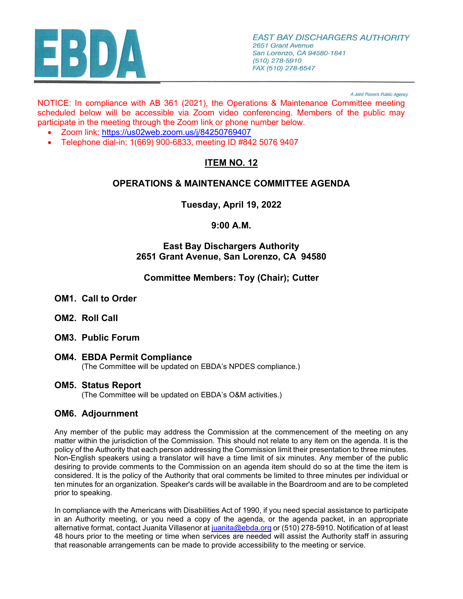

A Joint Powers Public Agency

NOTICE: In compliance with AB 361 (2021), the Operations & Maintenance Committee meeting scheduled below will be accessible via Zoom video conferencing. Members of the public may participate in the meeting through the Zoom link or phone number below.

- Zoom link: <https://us02web.zoom.us/j/84250769407>
- Telephone dial-in: 1(669) 900-6833, meeting ID #842 5076 9407

# **ITEM NO. 12**

## **OPERATIONS & MAINTENANCE COMMITTEE AGENDA**

**Tuesday, April 19, 2022** 

# **9:00 A.M.**

#### **East Bay Dischargers Authority 2651 Grant Avenue, San Lorenzo, CA 94580**

## **Committee Members: Toy (Chair); Cutter**

- **OM1. Call to Order**
- **OM2. Roll Call**
- **OM3. Public Forum**
- **OM4. EBDA Permit Compliance** (The Committee will be updated on EBDA's NPDES compliance.)

#### **OM5. Status Report**

(The Committee will be updated on EBDA's O&M activities.)

#### **OM6. Adjournment**

Any member of the public may address the Commission at the commencement of the meeting on any matter within the jurisdiction of the Commission. This should not relate to any item on the agenda. It is the policy of the Authority that each person addressing the Commission limit their presentation to three minutes. Non-English speakers using a translator will have a time limit of six minutes. Any member of the public desiring to provide comments to the Commission on an agenda item should do so at the time the item is considered. It is the policy of the Authority that oral comments be limited to three minutes per individual or ten minutes for an organization. Speaker's cards will be available in the Boardroom and are to be completed prior to speaking.

In compliance with the Americans with Disabilities Act of 1990, if you need special assistance to participate in an Authority meeting, or you need a copy of the agenda, or the agenda packet, in an appropriate alternative format, contact Juanita Villasenor at [juanita@ebda.org](mailto:juanita@ebda.org) or (510) 278-5910. Notification of at least 48 hours prior to the meeting or time when services are needed will assist the Authority staff in assuring that reasonable arrangements can be made to provide accessibility to the meeting or service.